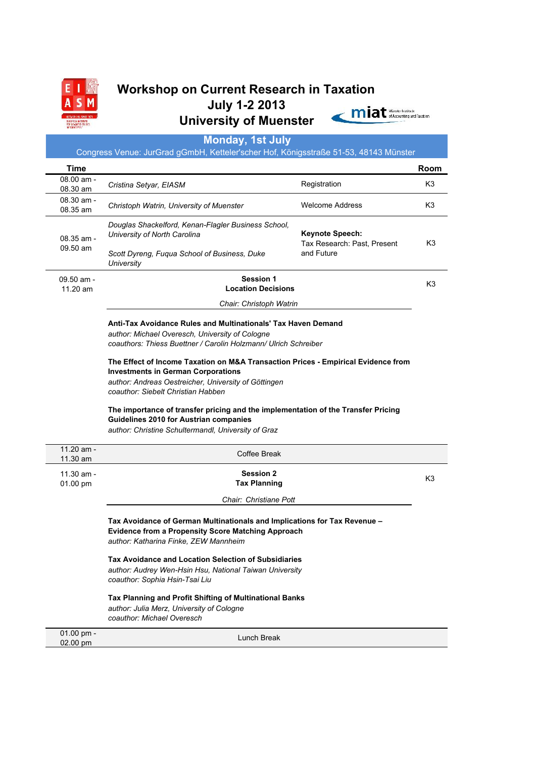

# **Workshop on Current Research in Taxation July 1-2 2013** University of Muenster **Container Municipal Indiana Property** and Taxabon

# **Time Room** 08.00 am - 08.00 am **Cristina Setyar, EIASM COLOGY CONSUMIC REGISTATION** REGISTRATION REGISTRATION REGISTRATION REGISTRATION 08.30 am - 06.30 am <sup>-</sup> Christoph Watrin, University of Muenster Managem Melcome Address K3 K3 08.35 am - 09.50 am *Douglas Shackelford, Kenan-Flagler Business School, University of North Carolina Scott Dyreng, Fuqua School of Business, Duke University* **Keynote Speech:** Tax Research: Past, Present and Future K3 09.50 am - 11.20 am K3  **Location Decisions** 11.20 am - 11.30 am 11.30 am exposition of the contract of the contract of the contract of the contract of the contract of the contract of the contract of the contract of the contract of the contract of the contract of the contract of the contract of 01.00 pm or.co pm Lunch Break<br>02.00 pm Lunch Break **Monday, 1st July** Congress Venue: JurGrad gGmbH, Ketteler'scher Hof, Königsstraße 51-53, 48143 Münster **Session 1** *Chair: Christoph Watrin* **Anti-Tax Avoidance Rules and Multinationals' Tax Haven Demand** *author: Michael Overesch, University of Cologne coauthors: Thiess Buettner / Carolin Holzmann/ Ulrich Schreiber* **The Effect of Income Taxation on M&A Transaction Prices - Empirical Evidence from Investments in German Corporations** *author: Andreas Oestreicher, University of Göttingen coauthor: Siebelt Christian Habben* **The importance of transfer pricing and the implementation of the Transfer Pricing Guidelines 2010 for Austrian companies** *author: Christine Schultermandl, University of Graz* Coffee Break **Session 2 Tax Planning** *Chair: Christiane Pott* **Tax Avoidance of German Multinationals and Implications for Tax Revenue – Evidence from a Propensity Score Matching Approach** *author: Katharina Finke, ZEW Mannheim* **Tax Avoidance and Location Selection of Subsidiaries** *author: Audrey Wen-Hsin Hsu, National Taiwan University coauthor: Sophia Hsin-Tsai Liu* **Tax Planning and Profit Shifting of Multinational Banks** *author: Julia Merz, University of Cologne coauthor: Michael Overesch*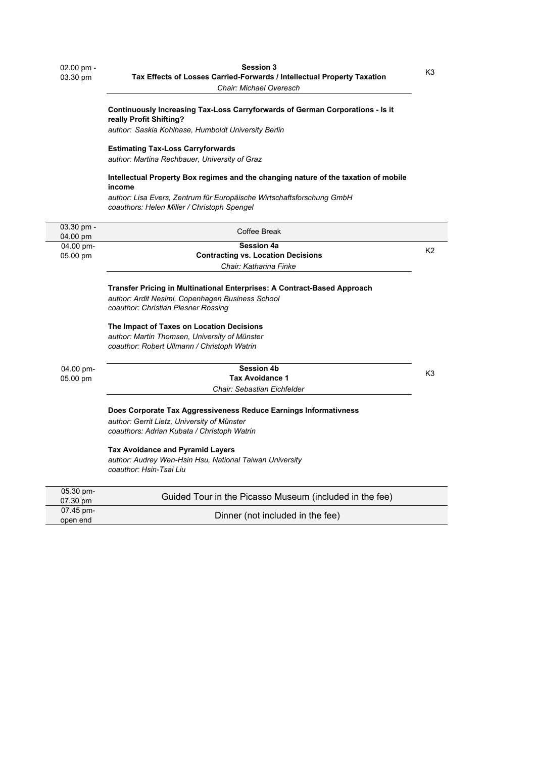# **Continuously Increasing Tax-Loss Carryforwards of German Corporations - Is it really Profit Shifting?**

*author: Saskia Kohlhase, Humboldt University Berlin*

#### **Estimating Tax-Loss Carryforwards**

*author: Martina Rechbauer, University of Graz*

## **Intellectual Property Box regimes and the changing nature of the taxation of mobile income**

*author: Lisa Evers, Zentrum für Europäische Wirtschaftsforschung GmbH coauthors: Helen Miller / Christoph Spengel*

| $03.30$ pm -<br>04.00 pm | Coffee Break                                                                       |                |
|--------------------------|------------------------------------------------------------------------------------|----------------|
| 04.00 pm-                | <b>Session 4a</b>                                                                  |                |
| 05.00 pm                 | <b>Contracting vs. Location Decisions</b>                                          | K <sub>2</sub> |
|                          | Chair: Katharina Finke                                                             |                |
|                          | Transfer Pricing in Multinational Enterprises: A Contract-Based Approach           |                |
|                          | author: Ardit Nesimi, Copenhagen Business School                                   |                |
|                          | coauthor: Christian Plesner Rossing                                                |                |
|                          | The Impact of Taxes on Location Decisions                                          |                |
|                          | author: Martin Thomsen, University of Münster                                      |                |
|                          | coauthor: Robert Ullmann / Christoph Watrin                                        |                |
| 04.00 pm-<br>05.00 pm    | <b>Session 4b</b>                                                                  |                |
|                          | <b>Tax Avoidance 1</b>                                                             | K <sub>3</sub> |
|                          | Chair: Sebastian Eichfelder                                                        |                |
|                          | Does Corporate Tax Aggressiveness Reduce Earnings Informativness                   |                |
|                          | author: Gerrit Lietz, University of Münster                                        |                |
|                          | coauthors: Adrian Kubata / Christoph Watrin                                        |                |
|                          | <b>Tax Avoidance and Pyramid Layers</b>                                            |                |
|                          | author: Audrey Wen-Hsin Hsu, National Taiwan University<br>coauthor: Hsin-Tsai Liu |                |
| 05.30 pm-                |                                                                                    |                |
| 07.30 pm                 | Guided Tour in the Picasso Museum (included in the fee)                            |                |
|                          |                                                                                    |                |

| .<br>07.30 pm         | Guided Tour in the Picasso Museum (included in the fee) |
|-----------------------|---------------------------------------------------------|
| 07.45 pm-<br>open end | Dinner (not included in the fee)                        |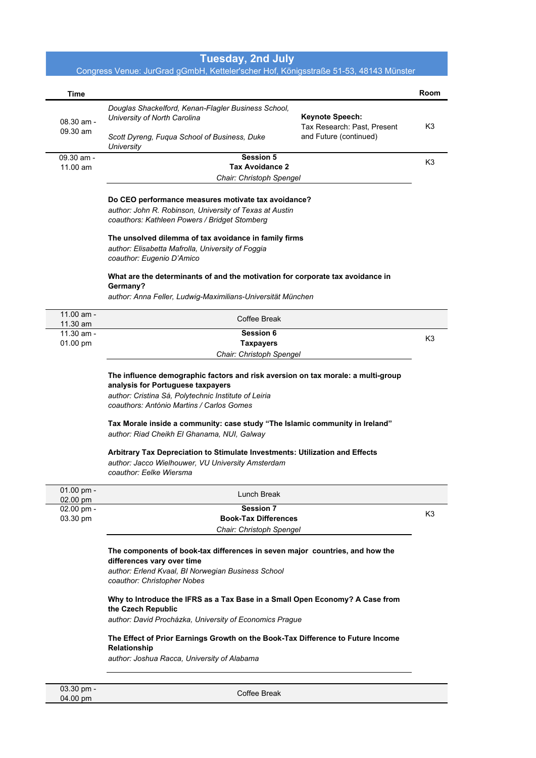# **Tuesday, 2nd July**

# Congress Venue: JurGrad gGmbH, Ketteler'scher Hof, Königsstraße 51-53, 48143 Münster

| Time                                             |                                                                                                                             |                             | Room |
|--------------------------------------------------|-----------------------------------------------------------------------------------------------------------------------------|-----------------------------|------|
|                                                  | Douglas Shackelford, Kenan-Flagler Business School,                                                                         |                             |      |
| 08.30 am -                                       | University of North Carolina                                                                                                | <b>Keynote Speech:</b>      |      |
| 09.30 am                                         |                                                                                                                             | Tax Research: Past, Present | K3   |
|                                                  | Scott Dyreng, Fugua School of Business, Duke<br>University                                                                  | and Future (continued)      |      |
| 09.30 am -                                       | <b>Session 5</b>                                                                                                            |                             | K3   |
| 11.00 am                                         | <b>Tax Avoidance 2</b>                                                                                                      |                             |      |
|                                                  | Chair: Christoph Spengel                                                                                                    |                             |      |
|                                                  | Do CEO performance measures motivate tax avoidance?                                                                         |                             |      |
|                                                  | author: John R. Robinson, University of Texas at Austin                                                                     |                             |      |
|                                                  | coauthors: Kathleen Powers / Bridget Stomberg                                                                               |                             |      |
|                                                  | The unsolved dilemma of tax avoidance in family firms                                                                       |                             |      |
|                                                  | author: Elisabetta Mafrolla, University of Foggia                                                                           |                             |      |
|                                                  | coauthor: Eugenio D'Amico                                                                                                   |                             |      |
|                                                  | What are the determinants of and the motivation for corporate tax avoidance in                                              |                             |      |
|                                                  | Germany?                                                                                                                    |                             |      |
|                                                  | author: Anna Feller, Ludwig-Maximilians-Universität München                                                                 |                             |      |
| $11.00$ am -<br>11.30 am                         | Coffee Break                                                                                                                |                             |      |
| $11.30$ am -                                     | <b>Session 6</b>                                                                                                            |                             | K3   |
| 01.00 pm                                         | <b>Taxpayers</b>                                                                                                            |                             |      |
|                                                  | Chair: Christoph Spengel                                                                                                    |                             |      |
|                                                  | The influence demographic factors and risk aversion on tax morale: a multi-group                                            |                             |      |
|                                                  | analysis for Portuguese taxpayers                                                                                           |                             |      |
|                                                  |                                                                                                                             |                             |      |
|                                                  | author: Cristina Sá, Polytechnic Institute of Leiria                                                                        |                             |      |
|                                                  | coauthors: António Martins / Carlos Gomes                                                                                   |                             |      |
|                                                  |                                                                                                                             |                             |      |
|                                                  | Tax Morale inside a community: case study "The Islamic community in Ireland"<br>author: Riad Cheikh El Ghanama, NUI, Galway |                             |      |
|                                                  |                                                                                                                             |                             |      |
|                                                  | Arbitrary Tax Depreciation to Stimulate Investments: Utilization and Effects                                                |                             |      |
|                                                  | author: Jacco Wielhouwer, VU University Amsterdam<br>coauthor: Eelke Wiersma                                                |                             |      |
|                                                  |                                                                                                                             |                             |      |
|                                                  | Lunch Break                                                                                                                 |                             |      |
|                                                  | <b>Session 7</b>                                                                                                            |                             | K3   |
|                                                  | <b>Book-Tax Differences</b>                                                                                                 |                             |      |
|                                                  | Chair: Christoph Spengel                                                                                                    |                             |      |
|                                                  | The components of book-tax differences in seven major countries, and how the                                                |                             |      |
|                                                  | differences vary over time                                                                                                  |                             |      |
| 01.00 pm -<br>02.00 pm<br>02.00 pm -<br>03.30 pm | author: Erlend Kvaal, BI Norwegian Business School<br>coauthor: Christopher Nobes                                           |                             |      |
|                                                  | Why to Introduce the IFRS as a Tax Base in a Small Open Economy? A Case from                                                |                             |      |
|                                                  | the Czech Republic<br>author: David Procházka, University of Economics Prague                                               |                             |      |
|                                                  | The Effect of Prior Earnings Growth on the Book-Tax Difference to Future Income                                             |                             |      |
|                                                  | Relationship<br>author: Joshua Racca, University of Alabama                                                                 |                             |      |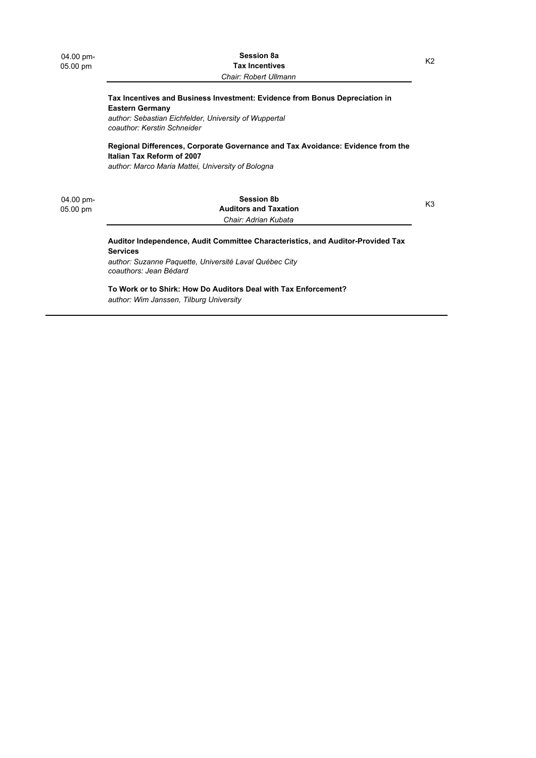#### 05.00 pm K2 **Session 8a Tax Incentives** *Chair: Robert Ullmann*

### **Tax Incentives and Business Investment: Evidence from Bonus Depreciation in Eastern Germany**

*author: Sebastian Eichfelder, University of Wuppertal coauthor: Kerstin Schneider*

### **Regional Differences, Corporate Governance and Tax Avoidance: Evidence from the Italian Tax Reform of 2007**

*author: Marco Maria Mattei, University of Bologna*

04.00 pm-

# 05.00 pm K3 **Session 8b Auditors and Taxation** *Chair: Adrian Kubata*

## **Auditor Independence, Audit Committee Characteristics, and Auditor-Provided Tax Services**

*author: Suzanne Paquette, Université Laval Québec City coauthors: Jean Bédard*

**To Work or to Shirk: How Do Auditors Deal with Tax Enforcement?** *author: Wim Janssen, Tilburg University*